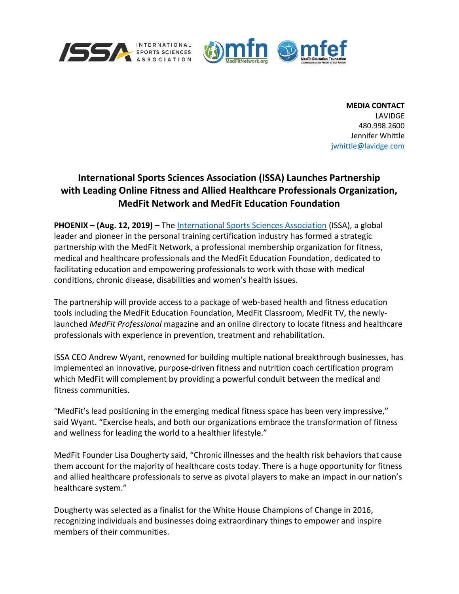



MEDIA CONTACT LAVIDGE 480.998.2600 Jennifer Whittle jwhittle@lavidge.com

## International Sports Sciences Association (ISSA) Launches Partnership with Leading Online Fitness and Allied Healthcare Professionals Organization, MedFit Network and MedFit Education Foundation

PHOENIX – (Aug. 12, 2019) – The International Sports Sciences Association (ISSA), a global leader and pioneer in the personal training certification industry has formed a strategic partnership with the MedFit Network, a professional membership organization for fitness, medical and healthcare professionals and the MedFit Education Foundation, dedicated to facilitating education and empowering professionals to work with those with medical conditions, chronic disease, disabilities and women's health issues.

The partnership will provide access to a package of web-based health and fitness education tools including the MedFit Education Foundation, MedFit Classroom, MedFit TV, the newlylaunched MedFit Professional magazine and an online directory to locate fitness and healthcare professionals with experience in prevention, treatment and rehabilitation.

ISSA CEO Andrew Wyant, renowned for building multiple national breakthrough businesses, has implemented an innovative, purpose-driven fitness and nutrition coach certification program which MedFit will complement by providing a powerful conduit between the medical and fitness communities.

"MedFit's lead positioning in the emerging medical fitness space has been very impressive," said Wyant. "Exercise heals, and both our organizations embrace the transformation of fitness and wellness for leading the world to a healthier lifestyle."

MedFit Founder Lisa Dougherty said, "Chronic illnesses and the health risk behaviors that cause them account for the majority of healthcare costs today. There is a huge opportunity for fitness and allied healthcare professionals to serve as pivotal players to make an impact in our nation's healthcare system."

Dougherty was selected as a finalist for the White House Champions of Change in 2016, recognizing individuals and businesses doing extraordinary things to empower and inspire members of their communities.